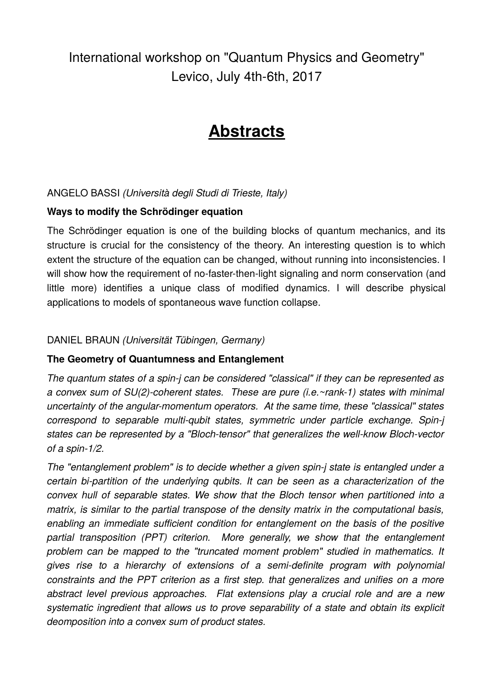International workshop on "Quantum Physics and Geometry" Levico, July 4th-6th, 2017

# **Abstracts**

# ANGELO BASSI *(Università degli Studi di Trieste, Italy)*

# **Ways to modify the Schrödinger equation**

The Schrödinger equation is one of the building blocks of quantum mechanics, and its structure is crucial for the consistency of the theory. An interesting question is to which extent the structure of the equation can be changed, without running into inconsistencies. I will show how the requirement of no-faster-then-light signaling and norm conservation (and little more) identifies a unique class of modified dynamics. I will describe physical applications to models of spontaneous wave function collapse.

# DANIEL BRAUN *(Universität Tübingen, Germany)*

# **The Geometry of Quantumness and Entanglement**

*The quantum states of a spin-j can be considered "classical" if they can be represented as a convex sum of SU(2)-coherent states. These are pure (i.e.~rank-1) states with minimal uncertainty of the angular-momentum operators. At the same time, these "classical" states correspond to separable multi-qubit states, symmetric under particle exchange. Spin-j states can be represented by a "Bloch-tensor" that generalizes the well-know Bloch-vector of a spin-1/2.*

*The "entanglement problem" is to decide whether a given spin-j state is entangled under a certain bi-partition of the underlying qubits. It can be seen as a characterization of the convex hull of separable states. We show that the Bloch tensor when partitioned into a matrix, is similar to the partial transpose of the density matrix in the computational basis, enabling an immediate sufficient condition for entanglement on the basis of the positive partial transposition (PPT) criterion. More generally, we show that the entanglement problem can be mapped to the "truncated moment problem" studied in mathematics. It gives rise to a hierarchy of extensions of a semi-definite program with polynomial constraints and the PPT criterion as a first step. that generalizes and unifies on a more abstract level previous approaches. Flat extensions play a crucial role and are a new systematic ingredient that allows us to prove separability of a state and obtain its explicit deomposition into a convex sum of product states.*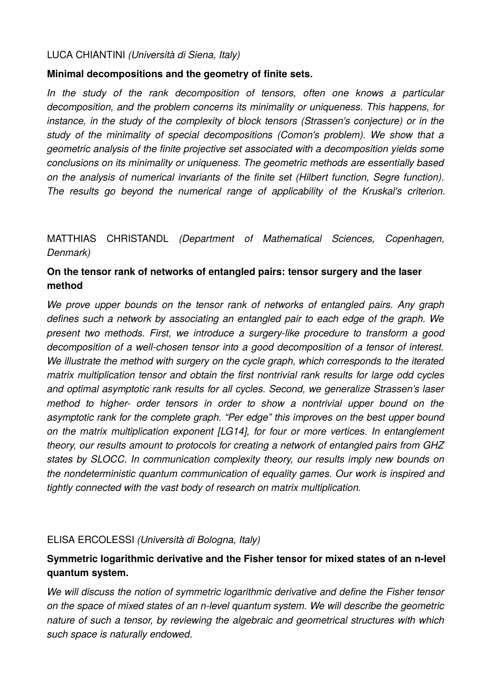#### LUCA CHIANTINI *(Università di Siena, Italy)*

## **Minimal decompositions and the geometry of finite sets.**

*In the study of the rank decomposition of tensors, often one knows a particular decomposition, and the problem concerns its minimality or uniqueness. This happens, for instance, in the study of the complexity of block tensors (Strassen's conjecture) or in the study of the minimality of special decompositions (Comon's problem). We show that a geometric analysis of the finite projective set associated with a decomposition yields some conclusions on its minimality or uniqueness. The geometric methods are essentially based on the analysis of numerical invariants of the finite set (Hilbert function, Segre function). The results go beyond the numerical range of applicability of the Kruskal's criterion.*

# MATTHIAS CHRISTANDL *(Department of Mathematical Sciences, Copenhagen, Denmark)*

# **On the tensor rank of networks of entangled pairs: tensor surgery and the laser method**

*We prove upper bounds on the tensor rank of networks of entangled pairs. Any graph defines such a network by associating an entangled pair to each edge of the graph. We present two methods. First, we introduce a surgery-like procedure to transform a good decomposition of a well-chosen tensor into a good decomposition of a tensor of interest. We illustrate the method with surgery on the cycle graph, which corresponds to the iterated matrix multiplication tensor and obtain the first nontrivial rank results for large odd cycles and optimal asymptotic rank results for all cycles. Second, we generalize Strassen's laser method to higher- order tensors in order to show a nontrivial upper bound on the asymptotic rank for the complete graph. "Per edge" this improves on the best upper bound on the matrix multiplication exponent [LG14], for four or more vertices. In entanglement theory, our results amount to protocols for creating a network of entangled pairs from GHZ states by SLOCC. In communication complexity theory, our results imply new bounds on the nondeterministic quantum communication of equality games. Our work is inspired and tightly connected with the vast body of research on matrix multiplication.*

# ELISA ERCOLESSI *(Università di Bologna, Italy)*

# **Symmetric logarithmic derivative and the Fisher tensor for mixed states of an n-level quantum system.**

*We will discuss the notion of symmetric logarithmic derivative and define the Fisher tensor on the space of mixed states of an n-level quantum system. We will describe the geometric nature of such a tensor, by reviewing the algebraic and geometrical structures with which such space is naturally endowed.*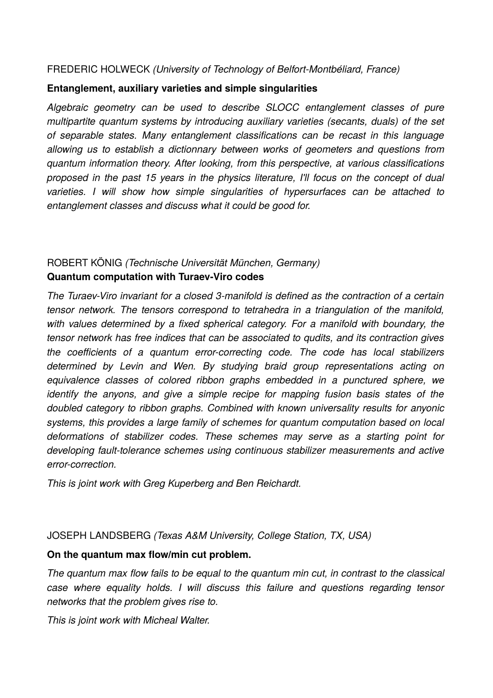#### FREDERIC HOLWECK *(University of Technology of Belfort-Montbéliard, France)*

#### **Entanglement, auxiliary varieties and simple singularities**

*Algebraic geometry can be used to describe SLOCC entanglement classes of pure multipartite quantum systems by introducing auxiliary varieties (secants, duals) of the set of separable states. Many entanglement classifications can be recast in this language allowing us to establish a dictionnary between works of geometers and questions from quantum information theory. After looking, from this perspective, at various classifications proposed in the past 15 years in the physics literature, I'll focus on the concept of dual varieties. I will show how simple singularities of hypersurfaces can be attached to entanglement classes and discuss what it could be good for.*

# ROBERT KÖNIG *(Technische Universität München, Germany)* **Quantum computation with Turaev-Viro codes**

*The Turaev-Viro invariant for a closed 3-manifold is defined as the contraction of a certain tensor network. The tensors correspond to tetrahedra in a triangulation of the manifold, with values determined by a fixed spherical category. For a manifold with boundary, the tensor network has free indices that can be associated to qudits, and its contraction gives the coefficients of a quantum error-correcting code. The code has local stabilizers determined by Levin and Wen. By studying braid group representations acting on equivalence classes of colored ribbon graphs embedded in a punctured sphere, we identify the anyons, and give a simple recipe for mapping fusion basis states of the doubled category to ribbon graphs. Combined with known universality results for anyonic systems, this provides a large family of schemes for quantum computation based on local deformations of stabilizer codes. These schemes may serve as a starting point for developing fault-tolerance schemes using continuous stabilizer measurements and active error-correction.* 

*This is joint work with Greg Kuperberg and Ben Reichardt.*

# JOSEPH LANDSBERG *(Texas A&M University, College Station, TX, USA)*

# **On the quantum max flow/min cut problem.**

*The quantum max flow fails to be equal to the quantum min cut, in contrast to the classical case where equality holds. I will discuss this failure and questions regarding tensor networks that the problem gives rise to.*

*This is joint work with Micheal Walter.*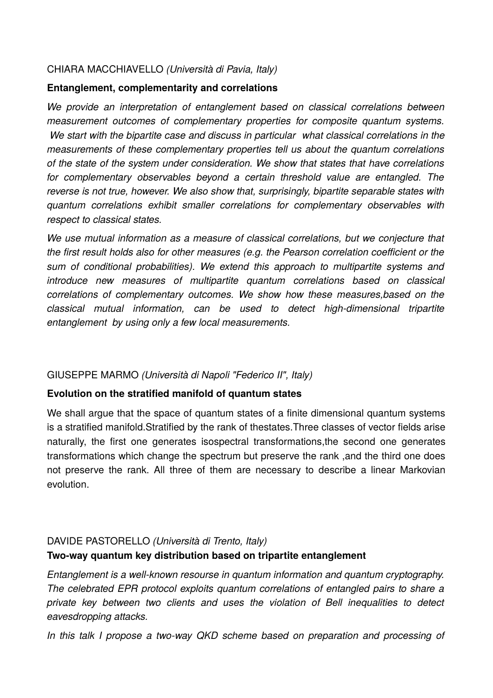### CHIARA MACCHIAVELLO *(Università di Pavia, Italy)*

#### **Entanglement, complementarity and correlations**

*We provide an interpretation of entanglement based on classical correlations between measurement outcomes of complementary properties for composite quantum systems. We start with the bipartite case and discuss in particular what classical correlations in the measurements of these complementary properties tell us about the quantum correlations of the state of the system under consideration. We show that states that have correlations for complementary observables beyond a certain threshold value are entangled. The reverse is not true, however. We also show that, surprisingly, bipartite separable states with quantum correlations exhibit smaller correlations for complementary observables with respect to classical states.*

*We use mutual information as a measure of classical correlations, but we conjecture that the first result holds also for other measures (e.g. the Pearson correlation coefficient or the sum of conditional probabilities). We extend this approach to multipartite systems and introduce new measures of multipartite quantum correlations based on classical correlations of complementary outcomes. We show how these measures,based on the classical mutual information, can be used to detect high-dimensional tripartite entanglement by using only a few local measurements.*

# GIUSEPPE MARMO *(Università di Napoli "Federico II", Italy)*

#### **Evolution on the stratified manifold of quantum states**

We shall argue that the space of quantum states of a finite dimensional quantum systems is a stratified manifold.Stratified by the rank of thestates.Three classes of vector fields arise naturally, the first one generates isospectral transformations,the second one generates transformations which change the spectrum but preserve the rank ,and the third one does not preserve the rank. All three of them are necessary to describe a linear Markovian evolution.

# DAVIDE PASTORELLO *(Università di Trento, Italy)* **Two-way quantum key distribution based on tripartite entanglement**

*Entanglement is a well-known resourse in quantum information and quantum cryptography. The celebrated EPR protocol exploits quantum correlations of entangled pairs to share a private key between two clients and uses the violation of Bell inequalities to detect eavesdropping attacks.*

*In this talk I propose a two-way QKD scheme based on preparation and processing of*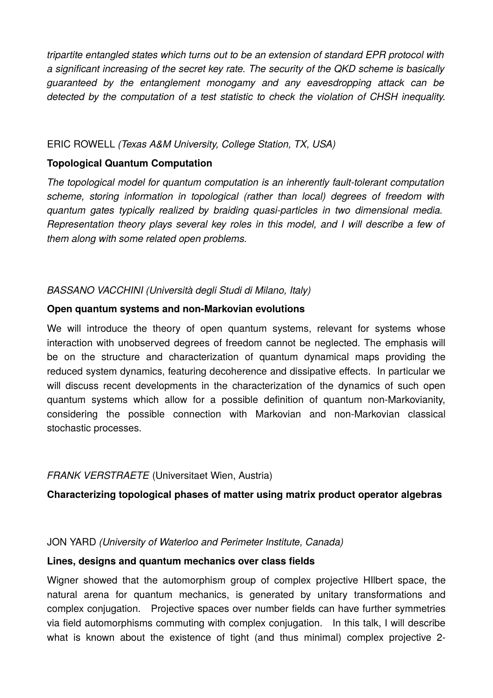*tripartite entangled states which turns out to be an extension of standard EPR protocol with a significant increasing of the secret key rate. The security of the QKD scheme is basically guaranteed by the entanglement monogamy and any eavesdropping attack can be detected by the computation of a test statistic to check the violation of CHSH inequality.*

## ERIC ROWELL *(Texas A&M University, College Station, TX, USA)*

## **Topological Quantum Computation**

*The topological model for quantum computation is an inherently fault-tolerant computation scheme, storing information in topological (rather than local) degrees of freedom with quantum gates typically realized by braiding quasi-particles in two dimensional media. Representation theory plays several key roles in this model, and I will describe a few of them along with some related open problems.*

# *BASSANO VACCHINI (Università degli Studi di Milano, Italy)*

#### **Open quantum systems and non-Markovian evolutions**

We will introduce the theory of open quantum systems, relevant for systems whose interaction with unobserved degrees of freedom cannot be neglected. The emphasis will be on the structure and characterization of quantum dynamical maps providing the reduced system dynamics, featuring decoherence and dissipative effects. In particular we will discuss recent developments in the characterization of the dynamics of such open quantum systems which allow for a possible definition of quantum non-Markovianity, considering the possible connection with Markovian and non-Markovian classical stochastic processes.

# *FRANK VERSTRAETE* (Universitaet Wien, Austria)

# **Characterizing topological phases of matter using matrix product operator algebras**

#### JON YARD *(University of Waterloo and Perimeter Institute, Canada)*

#### **Lines, designs and quantum mechanics over class fields**

Wigner showed that the automorphism group of complex projective HIlbert space, the natural arena for quantum mechanics, is generated by unitary transformations and complex conjugation. Projective spaces over number fields can have further symmetries via field automorphisms commuting with complex conjugation. In this talk, I will describe what is known about the existence of tight (and thus minimal) complex projective 2